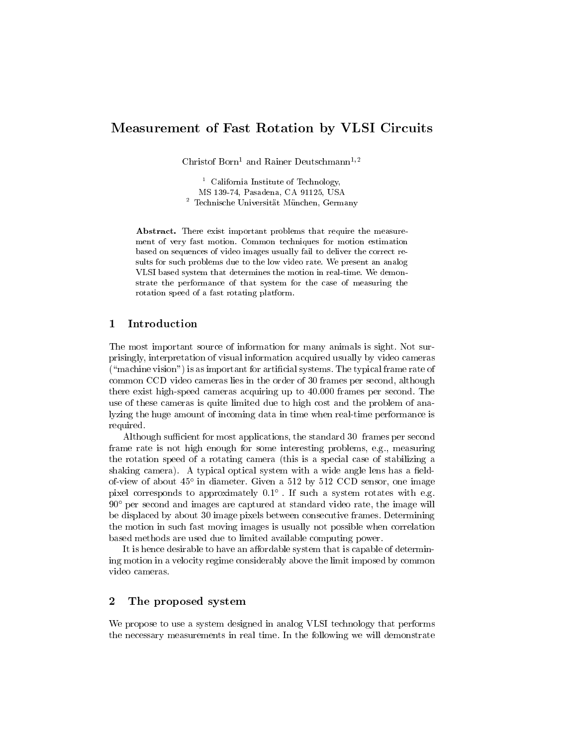# Measurement of Fast Rotation by VLSI Circuits

Christof Born<sup>1</sup> and Rainer Deutschmann<sup>1,2</sup>

1 California Institute of Technology, MS 139-74, Pasadena, CA 91125, USA 2 Technische Universitat Munchen, Germany

Abstract. There exist important problems that require the measure ment of very fast motion. Common techniques for motion estimation based on sequences of video images usually fail to deliver the correct results for such problems due to the low video rate. We present an analog VLSI based system that determines the motion in real-time. We demonstrate the performance of that system for the case of measuring the rotation speed of a fast rotating platform.

## 1 Introduction

The most important source of information for many animals is sight. Not surprisingly, interpretation of visual information acquired usually by video cameras  $($ "machine vision") is as important for artificial systems. The typical frame rate of common CCD video cameras lies in the order of 30 frames per second, although there exist high-speed cameras acquiring up to 40.000 frames per second. The use of these cameras is quite limited due to high cost and the problem of analyzing the huge amount of incoming data in time when real-time performance is required.

Although sufficient for most applications, the standard 30 frames per second frame rate is not high enough for some interesting problems, e.g., measuring the rotation speed of a rotating camera (this is a special case of stabilizing a shaking camera). A typical optical system with a wide angle lens has a fieldof-view of about 45 in diameter. Given a 512 by 512 CCD sensor, one image pixel corresponds to approximately 0.1 . If such a system rotates with e.g.  $90^{\circ}$  per second and images are captured at standard video rate, the image will be displaced by about 30 image pixels between consecutive frames. Determining the motion in such fast moving images is usually not possible when correlation based methods are used due to limited available computing power.

It is hence desirable to have an affordable system that is capable of determining motion in a velocity regime considerably above the limit imposed by common video cameras.

### $\overline{2}$ The proposed system

We propose to use a system designed in analog VLSI technology that performs the necessary measurements in real time. In the following we will demonstrate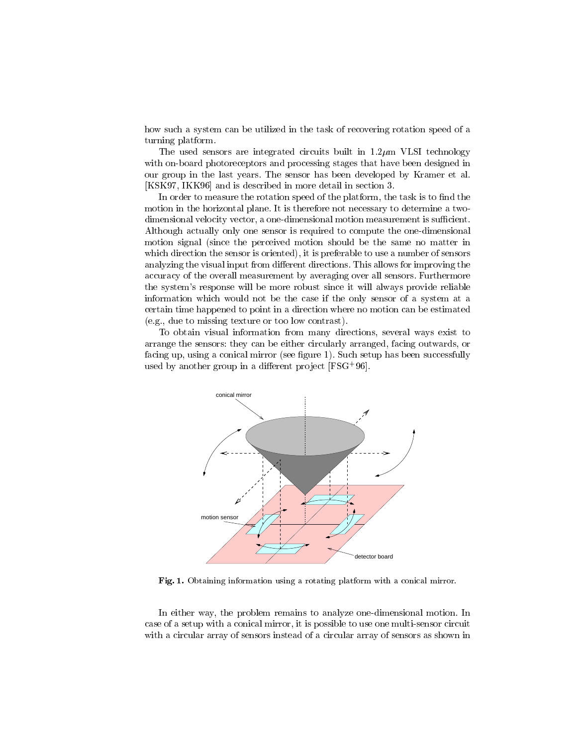how such a system can be utilized in the task of recovering rotation speed of a turning platform.

The used sensors are integrated circuits built in  $1.2 \mu m$  VLSI technology with on-board photoreceptors and processing stages that have been designed in our group in the last years. The sensor has been developed by Kramer et al. [KSK97, IKK96] and is described in more detail in section 3.

In order to measure the rotation speed of the platform, the task is to find the motion in the horizontal plane. It is therefore not necessary to determine a twodimensional velocity vector, a one-dimensional motion measurement is sufficient. Although actually only one sensor is required to compute the one-dimensional motion signal (since the perceived motion should be the same no matter in which direction the sensor is oriented), it is preferable to use a number of sensors analyzing the visual input from different directions. This allows for improving the accuracy of the overall measurement by averaging over all sensors. Furthermore the system's response will be more robust since it will always provide reliable information which would not be the case if the only sensor of a system at a certain time happened to point in a direction where no motion can be estimated (e.g., due to missing texture or too low contrast).

To obtain visual information from many directions, several ways exist to arrange the sensors: they can be either circularly arranged, facing outwards, or facing up, using a conical mirror (see figure 1). Such setup has been successfully used by another group in a dierent pro ject [FSG<sup>+</sup> 96].



Fig. 1. Obtaining information using a rotating platform with a conical mirror.

In either way, the problem remains to analyze one-dimensional motion. In case of a setup with a conical mirror, it is possible to use one multi-sensor circuit with a circular array of sensors instead of a circular array of sensors as shown in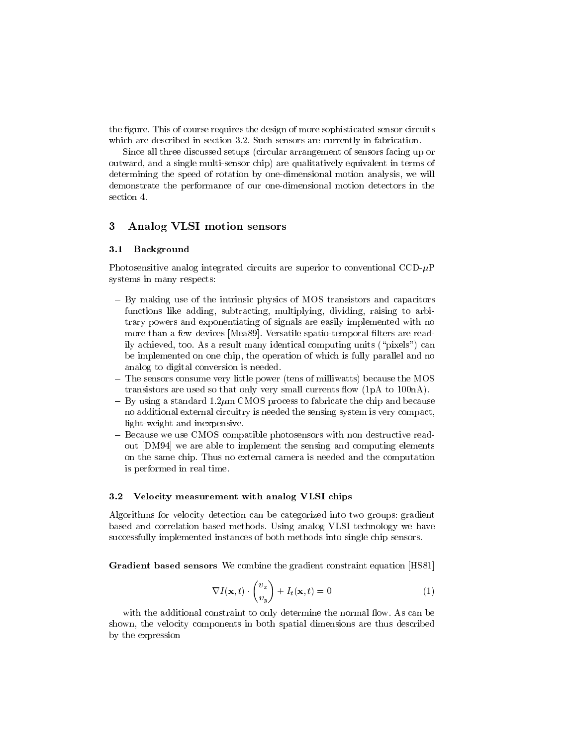the figure. This of course requires the design of more sophisticated sensor circuits which are described in section 3.2. Such sensors are currently in fabrication.

Since all three discussed setups (circular arrangement of sensors facing up or outward, and a single multi-sensor chip) are qualitatively equivalent in terms of determining the speed of rotation by one-dimensional motion analysis, we will demonstrate the performance of our one-dimensional motion detectors in the section 4.

## 3 Analog VLSI motion sensors

#### **Background**  $3.1$

Photosensitive analog integrated circuits are superior to conventional  $\text{CCD}-\mu\text{P}$ systems in many respects:

- By making use of the intrinsic physics of MOS transistors and capacitors functions like adding, subtracting, multiplying, dividing, raising to arbitrary powers and exponentiating of signals are easily implemented with no more than a few devices [Mea89]. Versatile spatio-temporal filters are readily achieved, too. As a result many identical computing units (\pixels") can be implemented on one chip, the operation of which is fully parallel and no analog to digital conversion is needed.
- The sensors consume very little power (tens of milliwatts) because the MOS transistors are used so that only very small currents flow  $(1pA)$  to  $100nA$ .
- ${\rm -By}$  using a standard 1.2 $\mu$ m CMOS process to fabricate the chip and because no additional external circuitry is needed the sensing system is very compact, light-weight and inexpensive.
- Because we use CMOS compatible photosensors with non destructive readout [DM94] we are able to implement the sensing and computing elements on the same chip. Thus no external camera is needed and the computation is performed in real time.

#### $3.2$ Velocity measurement with analog VLSI chips

Algorithms for velocity detection can be categorized into two groups: gradient based and correlation based methods. Using analog VLSI technology we have successfully implemented instances of both methods into single chip sensors.

Gradient based sensors We combine the gradient constraint equation [HS81]

$$
\nabla I(\mathbf{x}, t) \cdot \begin{pmatrix} v_x \\ v_y \end{pmatrix} + I_t(\mathbf{x}, t) = 0 \tag{1}
$$

with the additional constraint to only determine the normal flow. As can be shown, the velocity components in both spatial dimensions are thus described by the expression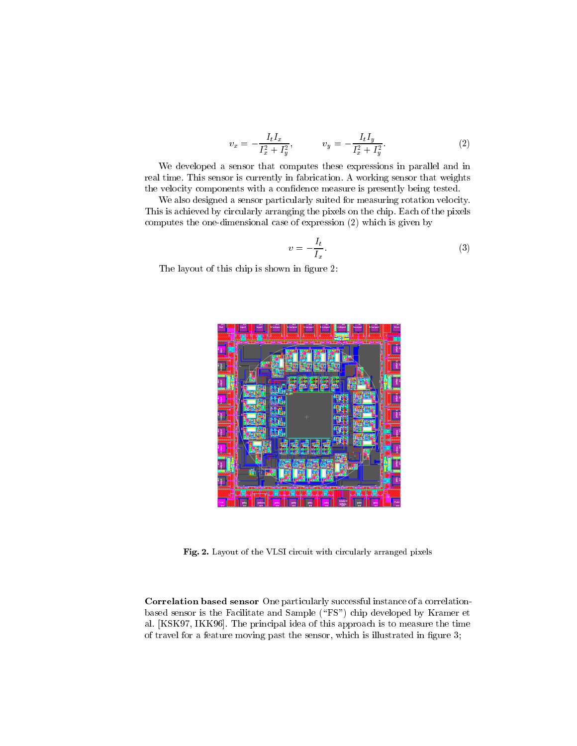$$
v_x = -\frac{I_t I_x}{I_x^2 + I_y^2}, \qquad v_y = -\frac{I_t I_y}{I_x^2 + I_y^2}.\tag{2}
$$

We developed a sensor that computes these expressions in parallel and in real time. This sensor is currently in fabrication. A working sensor that weights the velocity components with a condence measure is presently being tested.

We also designed a sensor particularly suited for measuring rotation velocity. This is achieved by circularly arranging the pixels on the chip. Each of the pixels computes the one-dimensional case of expression (2) which is given by

$$
v = -\frac{I_t}{I_x}.\tag{3}
$$

The layout of this chip is shown in figure 2:



Fig. 2. Layout of the VLSI circuit with circularly arranged pixels

Correlation based sensor One particularly successful instance of a correlationbased sensor is the Facilitate and Sample ("FS") chip developed by Kramer et al. [KSK97, IKK96]. The principal idea of this approach is to measure the time of travel for a feature moving past the sensor, which is illustrated in figure 3;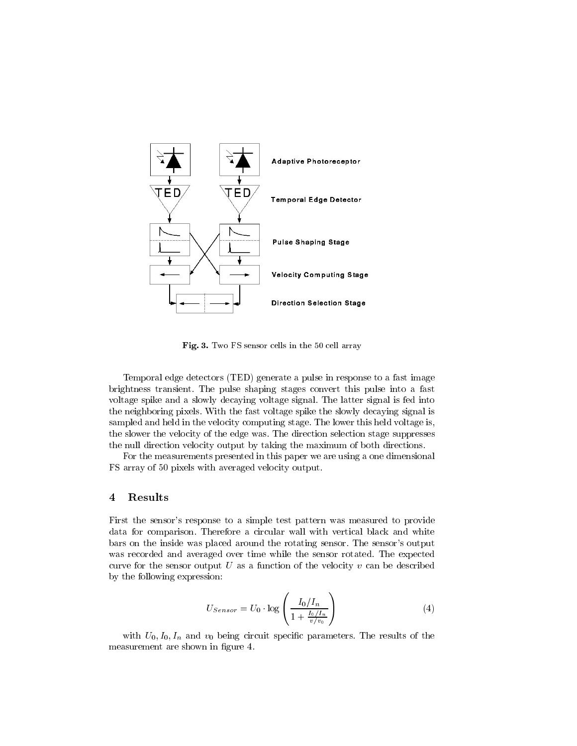

Fig. 3. Two FS sensor cells in the 50 cell array

Temporal edge detectors (TED) generate a pulse in response to a fast image brightness transient. The pulse shaping stages convert this pulse into a fast voltage spike and a slowly decaying voltage signal. The latter signal is fed into the neighboring pixels. With the fast voltage spike the slowly decaying signal is sampled and held in the velocity computing stage. The lower this held voltage is, the slower the velocity of the edge was. The direction selection stage suppresses the null direction velocity output by taking the maximum of both directions.

For the measurements presented in this paper we are using a one dimensional FS array of 50 pixels with averaged velocity output.

### $\overline{4}$ **Results**

First the sensor's response to a simple test pattern was measured to provide data for comparison. Therefore a circular wall with vertical black and white bars on the inside was placed around the rotating sensor. The sensor's output was recorded and averaged over time while the sensor rotated. The expected curve for the sensor output U as a function of the velocity  $v$  can be described by the following expression:

$$
U_{Sensor} = U_0 \cdot \log \left( \frac{I_0/I_n}{1 + \frac{I_0/I_n}{v/v_0}} \right) \tag{4}
$$

with  $U_0, I_0, I_n$  and  $v_0$  being circuit specific parameters. The results of the measurement are shown in figure 4.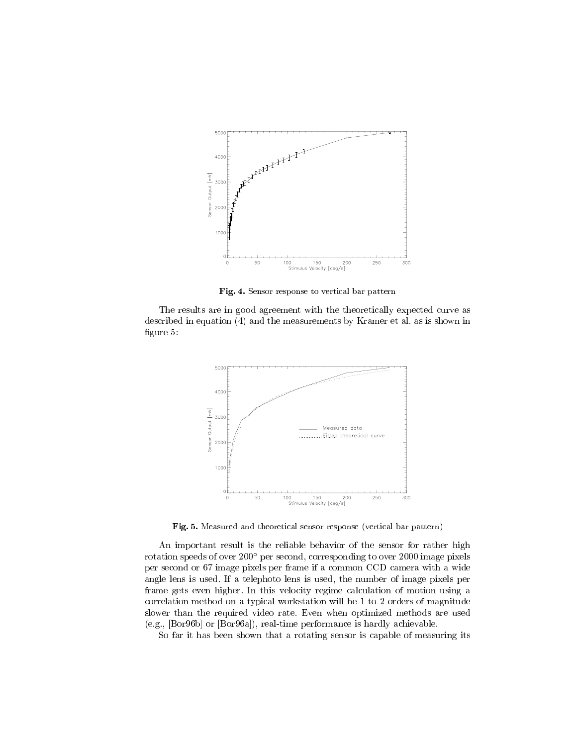

Fig. 4. Sensor response to vertical bar pattern

The results are in good agreement with the theoretically expected curve as described in equation (4) and the measurements by Kramer et al. as is shown in figure 5:



Fig. 5. Measured and theoretical sensor response (vertical bar pattern)

An important result is the reliable behavior of the sensor for rather high rotation speeds of over 200° per second, corresponding to over 2000 image pixels per second or 67 image pixels per frame if a common CCD camera with a wide angle lens is used. If a telephoto lens is used, the number of image pixels per frame gets even higher. In this velocity regime calculation of motion using a correlation method on a typical workstation will be 1 to 2 orders of magnitude slower than the required video rate. Even when optimized methods are used (e.g., [Bor96b] or [Bor96a]), real-time performance is hardly achievable.

So far it has been shown that a rotating sensor is capable of measuring its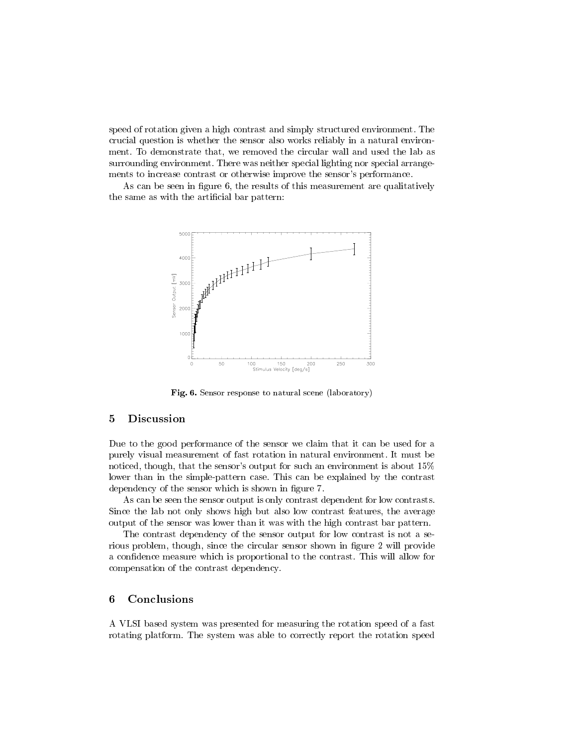speed of rotation given a high contrast and simply structured environment. The crucial question is whether the sensor also works reliably in a natural environment. To demonstrate that, we removed the circular wall and used the lab as surrounding environment. There was neither special lighting nor special arrangements to increase contrast or otherwise improve the sensor's performance.

As can be seen in figure 6, the results of this measurement are qualitatively the same as with the artificial bar pattern:



Fig. 6. Sensor response to natural scene (laboratory)

### $\overline{5}$ **Discussion**

Due to the good performance of the sensor we claim that it can be used for a purely visual measurement of fast rotation in natural environment. It must be noticed, though, that the sensor's output for such an environment is about 15% lower than in the simple-pattern case. This can be explained by the contrast dependency of the sensor which is shown in figure 7.

As can be seen the sensor output is only contrast dependent for low contrasts. Since the lab not only shows high but also low contrast features, the average output of the sensor was lower than it was with the high contrast bar pattern.

The contrast dependency of the sensor output for low contrast is not a serious problem, though, since the circular sensor shown in figure 2 will provide a condence measure which is proportional to the contrast. This will allow for compensation of the contrast dependency.

### 6 Conclusions

A VLSI based system was presented for measuring the rotation speed of a fast rotating platform. The system was able to correctly report the rotation speed